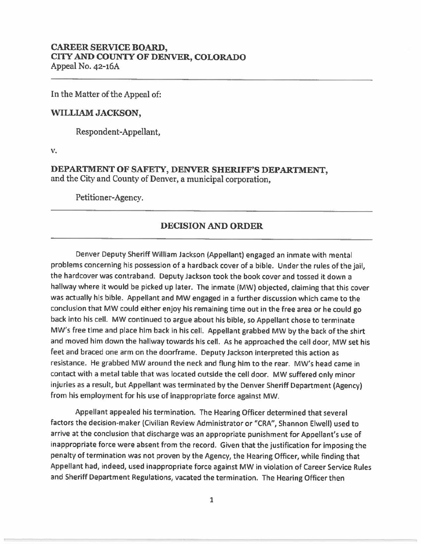## **CAREER SERVICE BOARD, CITY AND COUNIY OF DENVER, COLORADO**  Appeal No. 42-16A

In the Matter of the Appeal of:

## **WILLIAM JACKSON,**

Respondent-Appellant,

v.

## **DEPARTMENT OF SAFETY, DENVER SHERIFF'S DEPARTMENT,**  and the City and County of Denver, a municipal corporation,

Petitioner-Agency.

## **DECISION AND ORDER**

Denver Deputy Sheriff William Jackson (Appellant) engaged an inmate with mental problems concerning his possession of a hardback cover of a bible. Under the rules of the jail, the hardcover was contraband. Deputy Jackson took the book cover and tossed it down a hallway where it would be picked up later. The inmate (MW) objected, claiming that this cover was actually his bible. Appellant and MW engaged in a further discussion which came to the conclusion that MW could either enjoy his remaining time out in the free area or he could go back into his cell. MW continued to argue about his bible, so Appellant chose to terminate MW's free time and place him back in his cell. Appellant grabbed MW by the back of the shirt and moved him down the hallway towards his cell. As he approached the cell door, MW set his feet and braced one arm on the doorframe. Deputy Jackson interpreted this action as resistance. He grabbed MW around the neck and flung him to the rear. MW's head came in contact with a metal table that was located outside the cell door. MW suffered only minor injuries as a result, but Appellant was terminated by the Denver Sheriff Department (Agency) from his employment for his use of inappropriate force against MW.

Appellant appealed his termination. The Hearing Officer determined that several factors the decision-maker (Civilian Review Administrator or "CRA", Shannon Elwell) used to arrive at the conclusion that discharge was an appropriate punishment for Appellant's use of inappropriate force were absent from the record. Given that the justification for imposing the penalty of termination was not proven by the Agency, the Hearing Officer, while finding that Appellant had, indeed, used inappropriate force against MW in violation of Career Service Rules and Sheriff Department Regulations, vacated the termination. The Hearing Officer then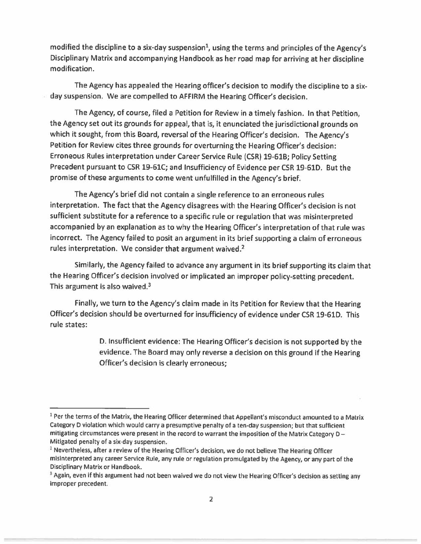modified the discipline to a six-day suspension<sup>1</sup>, using the terms and principles of the Agency's Disciplinary Matrix and accompanying Handbook as her road map for arriving at her discipline modification.

The Agency has appealed the Hearing officer's decision to modify the discipline to a sixday suspension. We are compelled to AFFIRM the Hearing Officer's decision.

The Agency, of course, filed a Petition for Review in a timely fashion. In that Petition, the Agency set out its grounds for appeal, that is, it enunciated the jurisdictional grounds on which it sought, from this Board, reversal of the Hearing Officer's decision. The Agency's Petition for Review cites three grounds for overturning the Hearing Officer's decision: Erroneous Rules interpretation under Career Service Rule (CSR) 19-61B; Policy Setting Precedent pursuant to CSR 19-61C; and Insufficiency of Evidence per CSR 19-61D. But the promise of these arguments to come went unfulfilled in the Agency's brief.

The Agency's brief did not contain a single reference to an erroneous rules interpretation. The fact that the Agency disagrees with the Hearing Officer's decision is not sufficient substitute for a reference to a specific rule or regulation that was misinterpreted accompanied by an explanation as to why the Hearing Officer's interpretation of that rule was incorrect. The Agency failed to posit an argument in its brief supporting a claim of erroneous rules interpretation. We consider that argument waived.<sup>2</sup>

Similarly, the Agency failed to advance any argument in its brief supporting its claim that the Hearing Officer's decision involved or implicated an improper policy-setting precedent. This argument is also waived.<sup>3</sup>

Finally, we turn to the Agency's claim made in its Petition for Review that the Hearing Officer's decision should be overturned for insufficiency of evidence under CSR 19-61D. This rule states:

> D. Insufficient evidence: The Hearing Officer's decision is not supported by the evidence. The Board may only reverse a decision on this ground if the Hearing Officer's decision is clearly erroneous;

<sup>&</sup>lt;sup>1</sup> Per the terms of the Matrix, the Hearing Officer determined that Appellant's misconduct amounted to a Matrix Category D violation which would carry a presumptive penalty of a ten-day suspension; but that sufficient mitigating circumstances were present in the record to warrant the imposition of the Matrix Category D -Mitigated penalty of a six-day suspension.

<sup>&</sup>lt;sup>2</sup> Nevertheless, after a review of the Hearing Officer's decision, we do not believe The Hearing Officer misinterpreted any career Service Rule, any rule or regulation promulgated by the Agency, or any part of the Disciplinary Matrix or Handbook.<br><sup>3</sup> Again, even if this argument had not been waived we do not view the Hearing Officer's decision as setting any

improper precedent.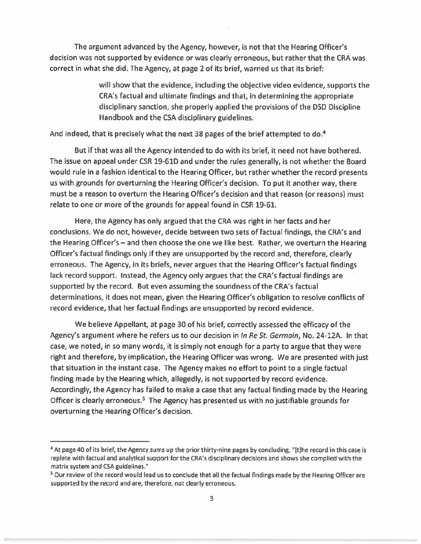The argument advanced by the Agency, however, is not that the Hearing Officer's decision was not supported by evidence or was clearly erroneous, but rather that the CRA was correct in what she did. The Agency, at page 2 of its brief, warned us that its brief:

> will show that the evidence, including the objective video evidence, supports the CRA's factual and ultimate findings and that, in determining the appropriate disciplinary sanction, she properly applied the provisions of the DSD Discipline Handbook and the CSA disciplinary guidelines.

And indeed, that is precisely what the next 38 pages of the brief attempted to do.<sup>4</sup>

But if that was all the Agency intended to do with its brief, it need not have bothered. The issue on appeal under CSR 19-610 and under the rules generally, is not whether the Board would rule in a fashion identical to the Hearing Officer, but rather whether the record presents us with grounds for overturning the Hearing Officer's decision. To put it another way, there must be a reason to overturn the Hearing Officer's decision and that reason (or reasons) must relate to one or more of the grounds for appeal found in CSR 19-61.

Here, the Agency has only argued that the CRA was right in her facts and her conclusions. We do not, however, decide between two sets of factual findings, the CRA's and the Hearing Officer's - and then choose the one we like best. Rather, we overturn the Hearing Officer's factual findings only if they are unsupported by the record and, therefore, clearly erroneous. The Agency, in its briefs, never argues that the Hearing Officer's factual findings lack record support. Instead, the Agency only argues that the CRA's factual findings are supported by the record. But even assuming the soundness of the CRA's factual determinations, it does not mean, given the Hearing Officer's obligation to resolve conflicts of record evidence, that her factual findings are unsupported by record evidence.

We believe Appellant, at page 30 of his brief, correctly assessed the efficacy of the Agency's argument where he refers us to our decision in In Re St. Germain, No. 24-12A. In that case, we noted, in so many words, it is simply not enough for a party to argue that they were right and therefore, by implication, the Hearing Officer was wrong. We are presented with just that situation in the instant case. The Agency makes no effort to point to a single factual finding made by the Hearing which, allegedly, is not supported by record evidence. Accordingly, the Agency has failed to make a case that any factual finding made by the Hearing Officer is clearly erroneous.<sup>5</sup> The Agency has presented us with no justifiable grounds for overturning the Hearing Officer's decision.

<sup>4</sup> At page 40 of its brief, the Agency sums up the prior thirty-nine pages by concluding, "[t)he record ln this case is replete with factual and analytical support for the CRA's disciplinary decisions and shows she complied with the matrix system and CSA guidelines."<br><sup>5</sup> Our review of the record would lead us to conclude that all the factual findings made by the Hearing Officer are

supported by the record and are, therefore, not clearly erroneous.